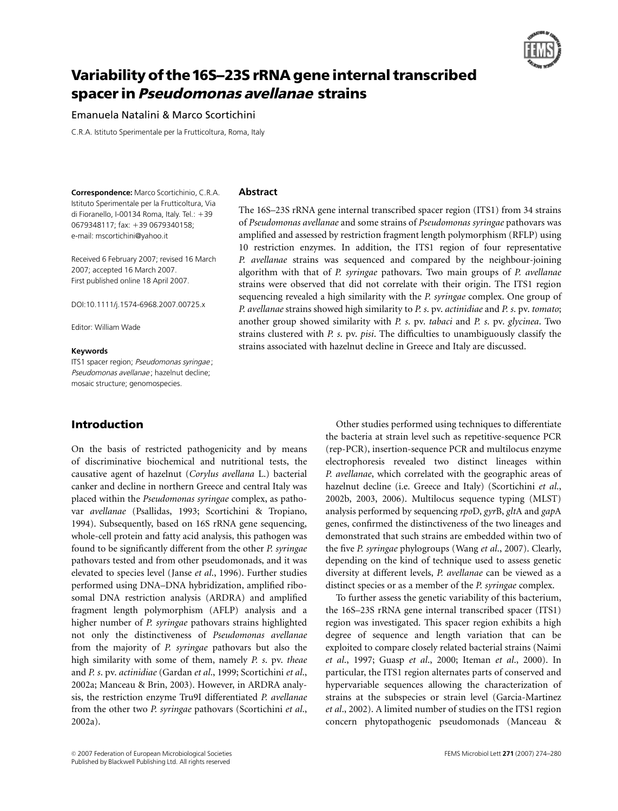

# Variability of the 16S-23S rRNA gene internal transcribed spacer in Pseudomonas avellanae strains

## Emanuela Natalini & Marco Scortichini

C.R.A. Istituto Sperimentale per la Frutticoltura, Roma, Italy

Correspondence: Marco Scortichinio, C.R.A. Istituto Sperimentale per la Frutticoltura, Via di Fioranello, I-00134 Roma, Italy. Tel.:  $+39$ 0679348117; fax: +39 0679340158; e-mail: mscortichini@yahoo.it

Received 6 February 2007; revised 16 March 2007; accepted 16 March 2007. First published online 18 April 2007.

DOI:10.1111/j.1574-6968.2007.00725.x

Editor: William Wade

#### Keywords

ITS1 spacer region; Pseudomonas syringae ; Pseudomonas avellanae; hazelnut decline; mosaic structure; genomospecies.

# Introduction

On the basis of restricted pathogenicity and by means of discriminative biochemical and nutritional tests, the causative agent of hazelnut (Corylus avellana L.) bacterial canker and decline in northern Greece and central Italy was placed within the Pseudomonas syringae complex, as pathovar avellanae (Psallidas, 1993; Scortichini & Tropiano, 1994). Subsequently, based on 16S rRNA gene sequencing, whole-cell protein and fatty acid analysis, this pathogen was found to be significantly different from the other P. syringae pathovars tested and from other pseudomonads, and it was elevated to species level (Janse et al., 1996). Further studies performed using DNA–DNA hybridization, amplified ribosomal DNA restriction analysis (ARDRA) and amplified fragment length polymorphism (AFLP) analysis and a higher number of P. syringae pathovars strains highlighted not only the distinctiveness of Pseudomonas avellanae from the majority of P. syringae pathovars but also the high similarity with some of them, namely P. s. pv. theae and P. s. pv. actinidiae (Gardan et al., 1999; Scortichini et al., 2002a; Manceau & Brin, 2003). However, in ARDRA analysis, the restriction enzyme Tru9I differentiated P. avellanae from the other two P. syringae pathovars (Scortichini et al., 2002a).

#### Abstract

The 16S–23S rRNA gene internal transcribed spacer region (ITS1) from 34 strains of Pseudomonas avellanae and some strains of Pseudomonas syringae pathovars was amplified and assessed by restriction fragment length polymorphism (RFLP) using 10 restriction enzymes. In addition, the ITS1 region of four representative P. avellanae strains was sequenced and compared by the neighbour-joining algorithm with that of P. syringae pathovars. Two main groups of P. avellanae strains were observed that did not correlate with their origin. The ITS1 region sequencing revealed a high similarity with the *P. syringae* complex. One group of P. avellanae strains showed high similarity to P. s. pv. actinidiae and P. s. pv. tomato; another group showed similarity with P. s. pv. tabaci and P. s. pv. glycinea. Two strains clustered with P. s. pv. pisi. The difficulties to unambiguously classify the strains associated with hazelnut decline in Greece and Italy are discussed.

> Other studies performed using techniques to differentiate the bacteria at strain level such as repetitive-sequence PCR (rep-PCR), insertion-sequence PCR and multilocus enzyme electrophoresis revealed two distinct lineages within P. avellanae, which correlated with the geographic areas of hazelnut decline (i.e. Greece and Italy) (Scortichini et al., 2002b, 2003, 2006). Multilocus sequence typing (MLST) analysis performed by sequencing rpoD, gyrB, gltA and gapA genes, confirmed the distinctiveness of the two lineages and demonstrated that such strains are embedded within two of the five P. syringae phylogroups (Wang et al., 2007). Clearly, depending on the kind of technique used to assess genetic diversity at different levels, P. avellanae can be viewed as a distinct species or as a member of the *P. syringae* complex.

> To further assess the genetic variability of this bacterium, the 16S–23S rRNA gene internal transcribed spacer (ITS1) region was investigated. This spacer region exhibits a high degree of sequence and length variation that can be exploited to compare closely related bacterial strains (Naimi et al., 1997; Guasp et al., 2000; Iteman et al., 2000). In particular, the ITS1 region alternates parts of conserved and hypervariable sequences allowing the characterization of strains at the subspecies or strain level (Garcia-Martinez et al., 2002). A limited number of studies on the ITS1 region concern phytopathogenic pseudomonads (Manceau &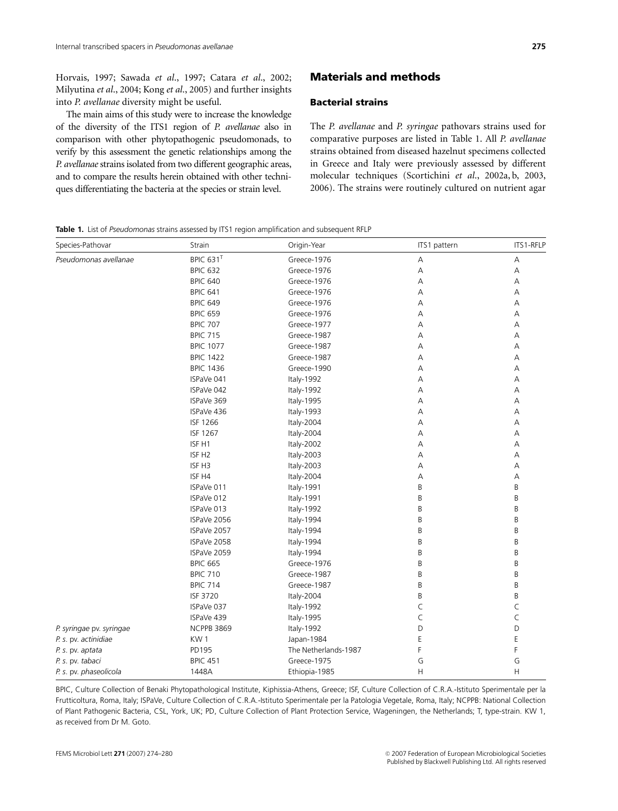Horvais, 1997; Sawada et al., 1997; Catara et al., 2002; Milyutina et al., 2004; Kong et al., 2005) and further insights into P. avellanae diversity might be useful.

The main aims of this study were to increase the knowledge of the diversity of the ITS1 region of P. avellanae also in comparison with other phytopathogenic pseudomonads, to verify by this assessment the genetic relationships among the P. avellanae strains isolated from two different geographic areas, and to compare the results herein obtained with other techniques differentiating the bacteria at the species or strain level.

# Materials and methods

#### Bacterial strains

The P. avellanae and P. syringae pathovars strains used for comparative purposes are listed in Table 1. All P. avellanae strains obtained from diseased hazelnut specimens collected in Greece and Italy were previously assessed by different molecular techniques (Scortichini et al., 2002a, b, 2003, 2006). The strains were routinely cultured on nutrient agar

#### Table 1. List of Pseudomonas strains assessed by ITS1 region amplification and subsequent RFLP

| Species-Pathovar         | Strain                  | Origin-Year          | ITS1 pattern | ITS1-RFLP |
|--------------------------|-------------------------|----------------------|--------------|-----------|
| Pseudomonas avellanae    | BPIC $631$ <sup>T</sup> | Greece-1976          | A            | Α         |
|                          | <b>BPIC 632</b>         | Greece-1976          | A            | А         |
|                          | <b>BPIC 640</b>         | Greece-1976          | A            | Α         |
|                          | <b>BPIC 641</b>         | Greece-1976          | А            | А         |
|                          | <b>BPIC 649</b>         | Greece-1976          | А            | А         |
|                          | <b>BPIC 659</b>         | Greece-1976          | Α            | А         |
|                          | <b>BPIC 707</b>         | Greece-1977          | А            | А         |
|                          | <b>BPIC 715</b>         | Greece-1987          | Α            | А         |
|                          | <b>BPIC 1077</b>        | Greece-1987          | Α            | Α         |
|                          | <b>BPIC 1422</b>        | Greece-1987          | Α            | Α         |
|                          | <b>BPIC 1436</b>        | Greece-1990          | А            | Α         |
|                          | ISPaVe 041              | Italy-1992           | Α            | А         |
|                          | ISPaVe 042              | Italy-1992           | A            | Α         |
|                          | ISPaVe 369              | Italy-1995           | A            | Α         |
|                          | ISPaVe 436              | Italy-1993           | А            | Α         |
|                          | ISF 1266                | Italy-2004           | Α            | Α         |
|                          | ISF 1267                | Italy-2004           | A            | А         |
|                          | ISF <sub>H1</sub>       | Italy-2002           | А            | А         |
|                          | ISF <sub>H2</sub>       | Italy-2003           | A            | Α         |
|                          | ISF <sub>H3</sub>       | Italy-2003           | A            | Α         |
|                          | ISF <sub>H4</sub>       | Italy-2004           | A            | А         |
|                          | ISPaVe 011              | Italy-1991           | B            | B         |
|                          | ISPaVe 012              | Italy-1991           | B            | B         |
|                          | ISPaVe 013              | Italy-1992           | B            | B         |
|                          | ISPaVe 2056             | Italy-1994           | B            | B         |
|                          | ISPaVe 2057             | Italy-1994           | B            | B         |
|                          | ISPaVe 2058             | Italy-1994           | B            | B         |
|                          | ISPaVe 2059             | Italy-1994           | B            | В         |
|                          | <b>BPIC 665</b>         | Greece-1976          | B            | B         |
|                          | <b>BPIC 710</b>         | Greece-1987          | B            | B         |
|                          | <b>BPIC 714</b>         | Greece-1987          | B            | B         |
|                          | <b>ISF 3720</b>         | Italy-2004           | B            | B         |
|                          | ISPaVe 037              | Italy-1992           | C            | $\subset$ |
|                          | ISPaVe 439              | Italy-1995           | $\mathsf C$  | C         |
| P. syringae pv. syringae | <b>NCPPB 3869</b>       | Italy-1992           | D            | D         |
| P. s. pv. actinidiae     | KW1                     | Japan-1984           | Ε            | E         |
| P. s. pv. aptata         | PD195                   | The Netherlands-1987 | F            | F         |
| P. s. pv. tabaci         | <b>BPIC 451</b>         | Greece-1975          | G            | G         |
| P. s. pv. phaseolicola   | 1448A                   | Ethiopia-1985        | Н            | Η         |

BPIC, Culture Collection of Benaki Phytopathological Institute, Kiphissia-Athens, Greece; ISF, Culture Collection of C.R.A.-Istituto Sperimentale per la Frutticoltura, Roma, Italy; ISPaVe, Culture Collection of C.R.A.-Istituto Sperimentale per la Patologia Vegetale, Roma, Italy; NCPPB: National Collection of Plant Pathogenic Bacteria, CSL, York, UK; PD, Culture Collection of Plant Protection Service, Wageningen, the Netherlands; T, type-strain. KW 1, as received from Dr M. Goto.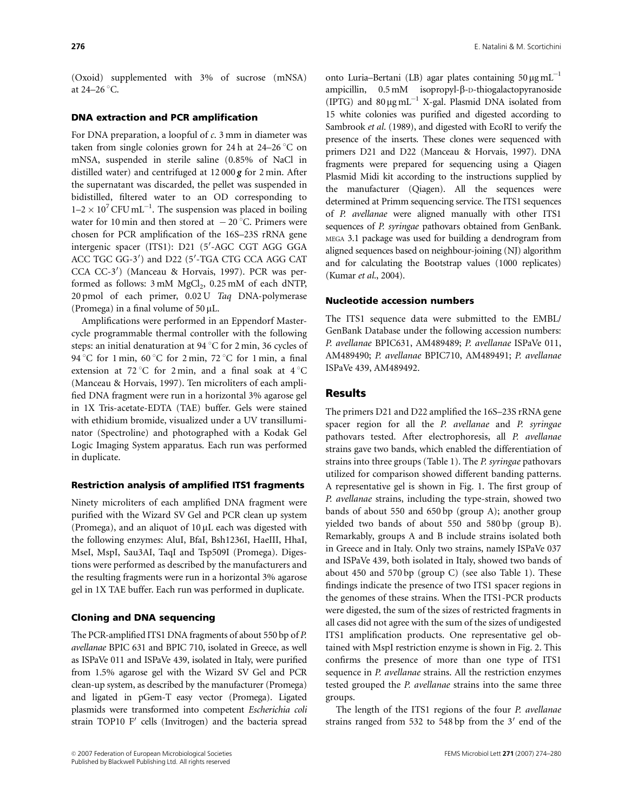(Oxoid) supplemented with 3% of sucrose (mNSA) at  $24-26$  °C.

### DNA extraction and PCR amplification

For DNA preparation, a loopful of  $c$ . 3 mm in diameter was taken from single colonies grown for 24 h at 24–26  $\degree$ C on mNSA, suspended in sterile saline (0.85% of NaCl in distilled water) and centrifuged at 12 000 *g* for 2 min. After the supernatant was discarded, the pellet was suspended in bidistilled, filtered water to an OD corresponding to  $1-2 \times 10^7$  CFU mL<sup>-1</sup>. The suspension was placed in boiling water for 10 min and then stored at  $-20$  °C. Primers were chosen for PCR amplification of the 16S–23S rRNA gene intergenic spacer (ITS1): D21 (5'-AGC CGT AGG GGA ACC TGC GG-3') and D22 (5'-TGA CTG CCA AGG CAT CCA CC-3') (Manceau & Horvais, 1997). PCR was performed as follows:  $3 \text{ mM } MgCl_2$ ,  $0.25 \text{ mM }$  of each dNTP, 20 pmol of each primer, 0.02 U Taq DNA-polymerase (Promega) in a final volume of  $50 \mu L$ .

Amplifications were performed in an Eppendorf Mastercycle programmable thermal controller with the following steps: an initial denaturation at 94  $\degree$ C for 2 min, 36 cycles of 94 °C for 1 min, 60 °C for 2 min, 72 °C for 1 min, a final extension at 72 °C for 2 min, and a final soak at  $4\degree$ C (Manceau & Horvais, 1997). Ten microliters of each amplified DNA fragment were run in a horizontal 3% agarose gel in 1X Tris-acetate-EDTA (TAE) buffer. Gels were stained with ethidium bromide, visualized under a UV transilluminator (Spectroline) and photographed with a Kodak Gel Logic Imaging System apparatus. Each run was performed in duplicate.

#### Restriction analysis of amplified ITS1 fragments

Ninety microliters of each amplified DNA fragment were purified with the Wizard SV Gel and PCR clean up system (Promega), and an aliquot of  $10 \mu$ L each was digested with the following enzymes: AluI, BfaI, Bsh1236I, HaeIII, HhaI, MseI, MspI, Sau3AI, TaqI and Tsp509I (Promega). Digestions were performed as described by the manufacturers and the resulting fragments were run in a horizontal 3% agarose gel in 1X TAE buffer. Each run was performed in duplicate.

# Cloning and DNA sequencing

The PCR-amplified ITS1 DNA fragments of about 550 bp of P. avellanae BPIC 631 and BPIC 710, isolated in Greece, as well as ISPaVe 011 and ISPaVe 439, isolated in Italy, were purified from 1.5% agarose gel with the Wizard SV Gel and PCR clean-up system, as described by the manufacturer (Promega) and ligated in pGem-T easy vector (Promega). Ligated plasmids were transformed into competent Escherichia coli strain TOP10 F' cells (Invitrogen) and the bacteria spread

onto Luria–Bertani (LB) agar plates containing  $50 \,\mu g \, \text{mL}^{-1}$ ampicillin, 0.5 mM isopropyl-b-D-thiogalactopyranoside (IPTG) and  $80 \mu g \text{ mL}^{-1}$  X-gal. Plasmid DNA isolated from 15 white colonies was purified and digested according to Sambrook et al. (1989), and digested with EcoRI to verify the presence of the inserts. These clones were sequenced with primers D21 and D22 (Manceau & Horvais, 1997). DNA fragments were prepared for sequencing using a Qiagen Plasmid Midi kit according to the instructions supplied by the manufacturer (Qiagen). All the sequences were determined at Primm sequencing service. The ITS1 sequences of P. avellanae were aligned manually with other ITS1 sequences of P. syringae pathovars obtained from GenBank. MEGA 3.1 package was used for building a dendrogram from aligned sequences based on neighbour-joining (NJ) algorithm and for calculating the Bootstrap values (1000 replicates) (Kumar et al., 2004).

#### Nucleotide accession numbers

The ITS1 sequence data were submitted to the EMBL/ GenBank Database under the following accession numbers: P. avellanae BPIC631, AM489489; P. avellanae ISPaVe 011, AM489490; P. avellanae BPIC710, AM489491; P. avellanae ISPaVe 439, AM489492.

# Results

The primers D21 and D22 amplified the 16S–23S rRNA gene spacer region for all the P. avellanae and P. syringae pathovars tested. After electrophoresis, all P. avellanae strains gave two bands, which enabled the differentiation of strains into three groups (Table 1). The P. syringae pathovars utilized for comparison showed different banding patterns. A representative gel is shown in Fig. 1. The first group of P. avellanae strains, including the type-strain, showed two bands of about 550 and 650 bp (group A); another group yielded two bands of about 550 and 580 bp (group B). Remarkably, groups A and B include strains isolated both in Greece and in Italy. Only two strains, namely ISPaVe 037 and ISPaVe 439, both isolated in Italy, showed two bands of about 450 and 570 bp (group C) (see also Table 1). These findings indicate the presence of two ITS1 spacer regions in the genomes of these strains. When the ITS1-PCR products were digested, the sum of the sizes of restricted fragments in all cases did not agree with the sum of the sizes of undigested ITS1 amplification products. One representative gel obtained with MspI restriction enzyme is shown in Fig. 2. This confirms the presence of more than one type of ITS1 sequence in P. avellanae strains. All the restriction enzymes tested grouped the P. avellanae strains into the same three groups.

The length of the ITS1 regions of the four P. avellanae strains ranged from 532 to 548 bp from the  $3'$  end of the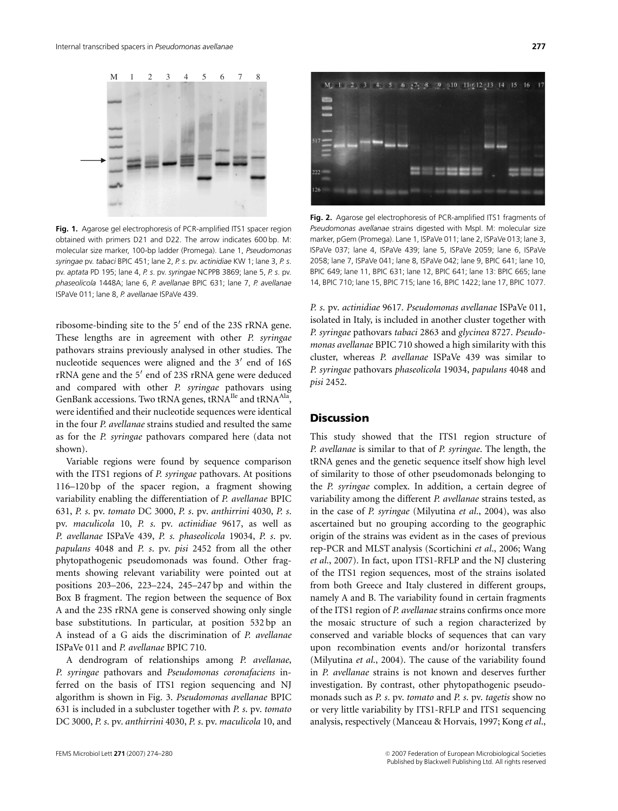

Fig. 1. Agarose gel electrophoresis of PCR-amplified ITS1 spacer region obtained with primers D21 and D22. The arrow indicates 600 bp. M: molecular size marker, 100-bp ladder (Promega). Lane 1, Pseudomonas syringae pv. tabaci BPIC 451; lane 2, P. s. pv. actinidiae KW 1; lane 3, P. s. pv. aptata PD 195; lane 4, P. s. pv. syringae NCPPB 3869; lane 5, P. s. pv. phaseolicola 1448A; lane 6, P. avellanae BPIC 631; lane 7, P. avellanae ISPaVe 011; lane 8, P. avellanae ISPaVe 439.

ribosome-binding site to the  $5'$  end of the 23S rRNA gene. These lengths are in agreement with other P. syringae pathovars strains previously analysed in other studies. The nucleotide sequences were aligned and the  $3'$  end of 16S  $rRNA$  gene and the  $5'$  end of 23S rRNA gene were deduced and compared with other P. syringae pathovars using GenBank accessions. Two tRNA genes,  $tRNA^{Ile}$  and  $tRNA^{Ala}$ , were identified and their nucleotide sequences were identical in the four P. avellanae strains studied and resulted the same as for the P. syringae pathovars compared here (data not shown).

Variable regions were found by sequence comparison with the ITS1 regions of P. syringae pathovars. At positions 116–120 bp of the spacer region, a fragment showing variability enabling the differentiation of P. avellanae BPIC 631, P. s. pv. tomato DC 3000, P. s. pv. anthirrini 4030, P. s. pv. maculicola 10, P. s. pv. actinidiae 9617, as well as P. avellanae ISPaVe 439, P. s. phaseolicola 19034, P. s. pv. papulans 4048 and P. s. pv. pisi 2452 from all the other phytopathogenic pseudomonads was found. Other fragments showing relevant variability were pointed out at positions 203–206, 223–224, 245–247 bp and within the Box B fragment. The region between the sequence of Box A and the 23S rRNA gene is conserved showing only single base substitutions. In particular, at position 532 bp an A instead of a G aids the discrimination of P. avellanae ISPaVe 011 and P. avellanae BPIC 710.

A dendrogram of relationships among P. avellanae, P. syringae pathovars and Pseudomonas coronafaciens inferred on the basis of ITS1 region sequencing and NJ algorithm is shown in Fig. 3. Pseudomonas avellanae BPIC 631 is included in a subcluster together with P. s. pv. tomato DC 3000, P. s. pv. anthirrini 4030, P. s. pv. maculicola 10, and



**Fig. 2.** Agarose gel electrophoresis of PCR-amplified ITS1 fragments of Pseudomonas avellanae strains digested with MspI. M: molecular size marker, pGem (Promega). Lane 1, ISPaVe 011; lane 2, ISPaVe 013; lane 3, ISPaVe 037; lane 4, ISPaVe 439; lane 5, ISPaVe 2059; lane 6, ISPaVe 2058; lane 7, ISPaVe 041; lane 8, ISPaVe 042; lane 9, BPIC 641; lane 10, BPIC 649; lane 11, BPIC 631; lane 12, BPIC 641; lane 13: BPIC 665; lane 14, BPIC 710; lane 15, BPIC 715; lane 16, BPIC 1422; lane 17, BPIC 1077.

P. s. pv. actinidiae 9617. Pseudomonas avellanae ISPaVe 011, isolated in Italy, is included in another cluster together with P. syringae pathovars tabaci 2863 and glycinea 8727. Pseudomonas avellanae BPIC 710 showed a high similarity with this cluster, whereas P. avellanae ISPaVe 439 was similar to P. syringae pathovars phaseolicola 19034, papulans 4048 and pisi 2452.

# **Discussion**

This study showed that the ITS1 region structure of P. avellanae is similar to that of P. syringae. The length, the tRNA genes and the genetic sequence itself show high level of similarity to those of other pseudomonads belonging to the P. syringae complex. In addition, a certain degree of variability among the different P. avellanae strains tested, as in the case of P. syringae (Milyutina et al., 2004), was also ascertained but no grouping according to the geographic origin of the strains was evident as in the cases of previous rep-PCR and MLST analysis (Scortichini et al., 2006; Wang et al., 2007). In fact, upon ITS1-RFLP and the NJ clustering of the ITS1 region sequences, most of the strains isolated from both Greece and Italy clustered in different groups, namely A and B. The variability found in certain fragments of the ITS1 region of P. avellanae strains confirms once more the mosaic structure of such a region characterized by conserved and variable blocks of sequences that can vary upon recombination events and/or horizontal transfers (Milyutina et al., 2004). The cause of the variability found in P. avellanae strains is not known and deserves further investigation. By contrast, other phytopathogenic pseudomonads such as P. s. pv. tomato and P. s. pv. tagetis show no or very little variability by ITS1-RFLP and ITS1 sequencing analysis, respectively (Manceau & Horvais, 1997; Kong et al.,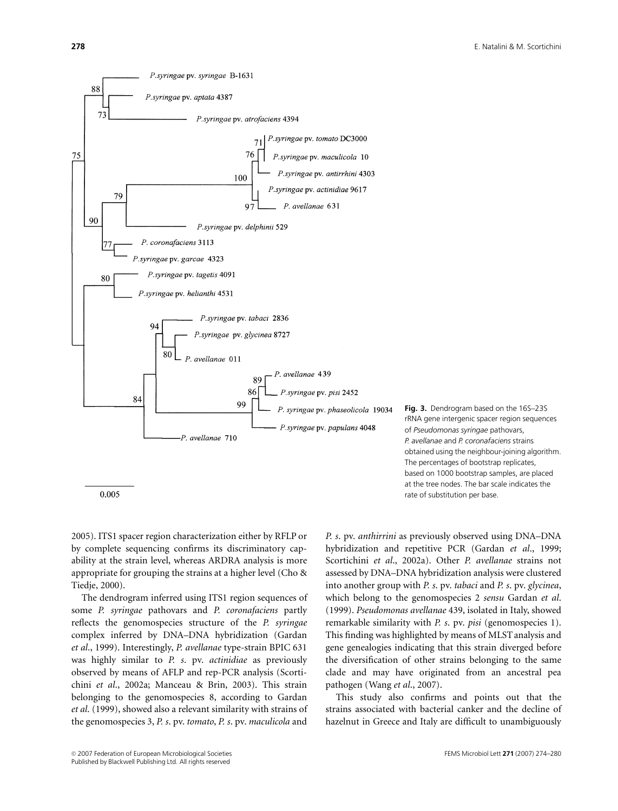

Fig. 3. Dendrogram based on the 16S-23S rRNA gene intergenic spacer region sequences of Pseudomonas syringae pathovars, P. avellanae and P. coronafaciens strains obtained using the neighbour-joining algorithm. The percentages of bootstrap replicates, based on 1000 bootstrap samples, are placed at the tree nodes. The bar scale indicates the rate of substitution per base.

2005). ITS1 spacer region characterization either by RFLP or by complete sequencing confirms its discriminatory capability at the strain level, whereas ARDRA analysis is more appropriate for grouping the strains at a higher level (Cho & Tiedje, 2000).

The dendrogram inferred using ITS1 region sequences of some P. syringae pathovars and P. coronafaciens partly reflects the genomospecies structure of the P. syringae complex inferred by DNA–DNA hybridization (Gardan et al., 1999). Interestingly, P. avellanae type-strain BPIC 631 was highly similar to P. s. pv. actinidiae as previously observed by means of AFLP and rep-PCR analysis (Scortichini et al., 2002a; Manceau & Brin, 2003). This strain belonging to the genomospecies 8, according to Gardan et al. (1999), showed also a relevant similarity with strains of the genomospecies 3, P. s. pv. tomato, P. s. pv. maculicola and

P. s. pv. anthirrini as previously observed using DNA–DNA hybridization and repetitive PCR (Gardan et al., 1999; Scortichini et al., 2002a). Other P. avellanae strains not assessed by DNA–DNA hybridization analysis were clustered into another group with P. s. pv. tabaci and P. s. pv. glycinea, which belong to the genomospecies 2 sensu Gardan et al. (1999). Pseudomonas avellanae 439, isolated in Italy, showed remarkable similarity with P. s. pv. pisi (genomospecies 1). This finding was highlighted by means of MLST analysis and gene genealogies indicating that this strain diverged before the diversification of other strains belonging to the same clade and may have originated from an ancestral pea pathogen (Wang et al., 2007).

This study also confirms and points out that the strains associated with bacterial canker and the decline of hazelnut in Greece and Italy are difficult to unambiguously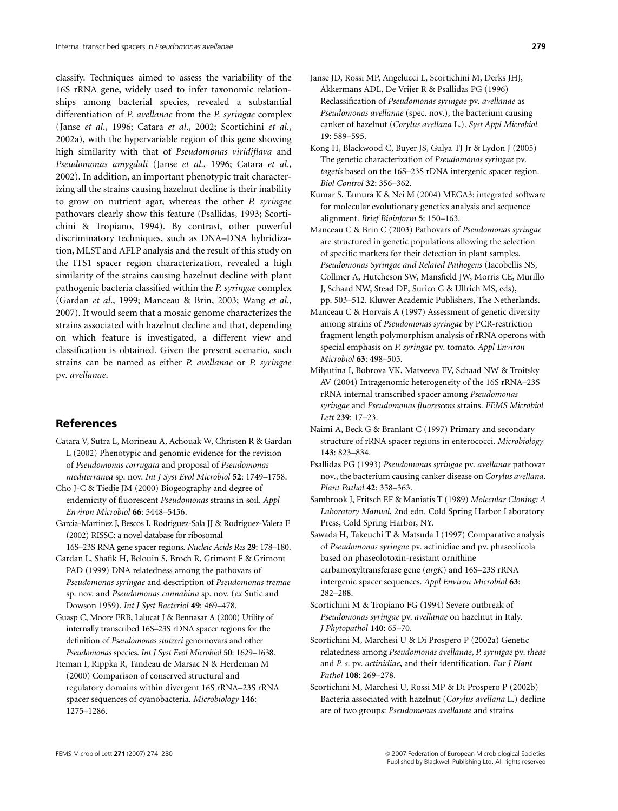classify. Techniques aimed to assess the variability of the 16S rRNA gene, widely used to infer taxonomic relationships among bacterial species, revealed a substantial differentiation of P. avellanae from the P. syringae complex (Janse et al., 1996; Catara et al., 2002; Scortichini et al., 2002a), with the hypervariable region of this gene showing high similarity with that of Pseudomonas viridiflava and Pseudomonas amygdali (Janse et al., 1996; Catara et al., 2002). In addition, an important phenotypic trait characterizing all the strains causing hazelnut decline is their inability to grow on nutrient agar, whereas the other P. syringae pathovars clearly show this feature (Psallidas, 1993; Scortichini & Tropiano, 1994). By contrast, other powerful discriminatory techniques, such as DNA–DNA hybridization, MLST and AFLP analysis and the result of this study on the ITS1 spacer region characterization, revealed a high similarity of the strains causing hazelnut decline with plant pathogenic bacteria classified within the P. syringae complex (Gardan et al., 1999; Manceau & Brin, 2003; Wang et al., 2007). It would seem that a mosaic genome characterizes the strains associated with hazelnut decline and that, depending on which feature is investigated, a different view and classification is obtained. Given the present scenario, such strains can be named as either P. avellanae or P. syringae pv. avellanae.

## References

- Catara V, Sutra L, Morineau A, Achouak W, Christen R & Gardan L (2002) Phenotypic and genomic evidence for the revision of Pseudomonas corrugata and proposal of Pseudomonas mediterranea sp. nov. Int J Syst Evol Microbiol 52: 1749–1758.
- Cho J-C & Tiedje JM (2000) Biogeography and degree of endemicity of fluorescent Pseudomonas strains in soil. Appl Environ Microbiol 66: 5448–5456.
- Garcia-Martinez J, Bescos I, Rodriguez-Sala JJ & Rodriguez-Valera F (2002) RISSC: a novel database for ribosomal
- 16S–23S RNA gene spacer regions. Nucleic Acids Res 29: 178–180. Gardan L, Shafik H, Belouin S, Broch R, Grimont F & Grimont PAD (1999) DNA relatedness among the pathovars of Pseudomonas syringae and description of Pseudomonas tremae
- sp. nov. and Pseudomonas cannabina sp. nov. (ex Sutic and Dowson 1959). Int J Syst Bacteriol 49: 469–478.
- Guasp C, Moore ERB, Lalucat J & Bennasar A (2000) Utility of internally transcribed 16S–23S rDNA spacer regions for the definition of Pseudomonas stutzeri genomovars and other Pseudomonas species. Int J Syst Evol Microbiol 50: 1629–1638.
- Iteman I, Rippka R, Tandeau de Marsac N & Herdeman M (2000) Comparison of conserved structural and regulatory domains within divergent 16S rRNA–23S rRNA spacer sequences of cyanobacteria. Microbiology 146: 1275–1286.
- Kong H, Blackwood C, Buyer JS, Gulya TJ Jr & Lydon J (2005) The genetic characterization of Pseudomonas syringae pv. tagetis based on the 16S–23S rDNA intergenic spacer region. Biol Control 32: 356–362.
- Kumar S, Tamura K & Nei M (2004) MEGA3: integrated software for molecular evolutionary genetics analysis and sequence alignment. Brief Bioinform 5: 150–163.
- Manceau C & Brin C (2003) Pathovars of Pseudomonas syringae are structured in genetic populations allowing the selection of specific markers for their detection in plant samples. Pseudomonas Syringae and Related Pathogens (Iacobellis NS, Collmer A, Hutcheson SW, Mansfield JW, Morris CE, Murillo J, Schaad NW, Stead DE, Surico G & Ullrich MS, eds), pp. 503–512. Kluwer Academic Publishers, The Netherlands.
- Manceau C & Horvais A (1997) Assessment of genetic diversity among strains of Pseudomonas syringae by PCR-restriction fragment length polymorphism analysis of rRNA operons with special emphasis on P. syringae pv. tomato. Appl Environ Microbiol 63: 498–505.
- Milyutina I, Bobrova VK, Matveeva EV, Schaad NW & Troitsky AV (2004) Intragenomic heterogeneity of the 16S rRNA–23S rRNA internal transcribed spacer among Pseudomonas syringae and Pseudomonas fluorescens strains. FEMS Microbiol Lett 239: 17–23.
- Naimi A, Beck G & Branlant C (1997) Primary and secondary structure of rRNA spacer regions in enterococci. Microbiology 143: 823–834.
- Psallidas PG (1993) Pseudomonas syringae pv. avellanae pathovar nov., the bacterium causing canker disease on Corylus avellana. Plant Pathol 42: 358–363.
- Sambrook J, Fritsch EF & Maniatis T (1989) Molecular Cloning: A Laboratory Manual, 2nd edn. Cold Spring Harbor Laboratory Press, Cold Spring Harbor, NY.
- Sawada H, Takeuchi T & Matsuda I (1997) Comparative analysis of Pseudomonas syringae pv. actinidiae and pv. phaseolicola based on phaseolotoxin-resistant ornithine carbamoxyltransferase gene (argK) and 16S–23S rRNA intergenic spacer sequences. Appl Environ Microbiol 63: 282–288.
- Scortichini M & Tropiano FG (1994) Severe outbreak of Pseudomonas syringae pv. avellanae on hazelnut in Italy. J Phytopathol 140: 65–70.
- Scortichini M, Marchesi U & Di Prospero P (2002a) Genetic relatedness among Pseudomonas avellanae, P. syringae pv. theae and P. s. pv. actinidiae, and their identification. Eur J Plant Pathol 108: 269–278.
- Scortichini M, Marchesi U, Rossi MP & Di Prospero P (2002b) Bacteria associated with hazelnut (Corylus avellana L.) decline are of two groups: Pseudomonas avellanae and strains